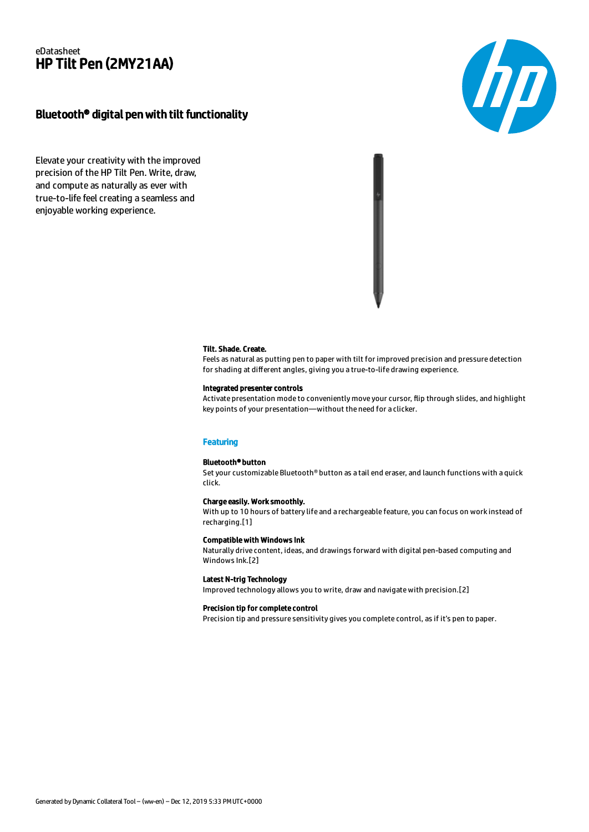## eDatasheet HP Tilt Pen (2MY21AA)

# Bluetooth® digital pen with tilt functionality

Elevate your creativity with the improved precision of the HP Tilt Pen. Write, draw, and compute as naturally as ever with true-to-life feel creating a seamless and enjoyable working experience.



#### Tilt. Shade. Create.

Feels as natural as putting pen to paper with tilt for improved precision and pressure detection for shading at different angles, giving you a true-to-life drawing experience.

## Integrated presenter controls

Activate presentation mode to conveniently move your cursor, flip through slides, and highlight key points of your presentation—without the need for a clicker.

## **Featuring**

#### Bluetooth® button

Set your customizable Bluetooth® button as a tail end eraser, and launch functions with a quick click.

#### Charge easily. Work smoothly.

With up to 10 hours of battery life and a rechargeable feature, you can focus on work instead of recharging.[1]

#### Compatible with Windows Ink

Naturally drive content, ideas, and drawings forward with digital pen-based computing and Windows Ink.[2]

#### Latest N-trig Technology

Improved technology allows you to write, draw and navigate with precision.[2]

#### Precision tip for complete control

Precision tip and pressure sensitivity gives you complete control, as if it's pen to paper.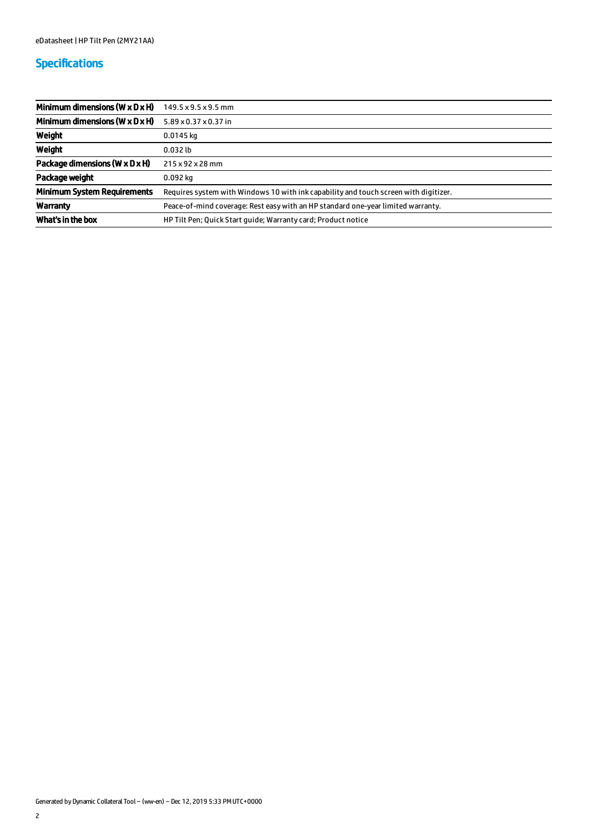# Specifications

| Minimum dimensions ( $W \times D \times H$ ) | 149.5 x 9.5 x 9.5 mm                                                                 |
|----------------------------------------------|--------------------------------------------------------------------------------------|
| Minimum dimensions ( $W \times D \times H$ ) | 5.89 x 0.37 x 0.37 in                                                                |
| Weight                                       | $0.0145$ kg                                                                          |
| Weight                                       | $0.032$ lb                                                                           |
| Package dimensions (W x D x H)               | 215 x 92 x 28 mm                                                                     |
| Package weight                               | $0.092$ kg                                                                           |
| <b>Minimum System Requirements</b>           | Requires system with Windows 10 with ink capability and touch screen with digitizer. |
| Warranty                                     | Peace-of-mind coverage: Rest easy with an HP standard one-year limited warranty.     |
| What's in the box                            | HP Tilt Pen; Quick Start quide; Warranty card; Product notice                        |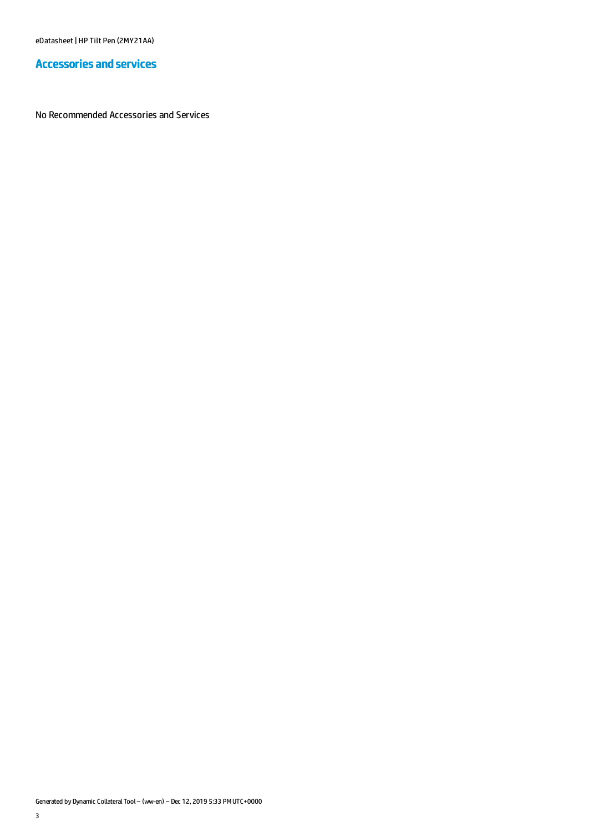eDatasheet | HP Tilt Pen (2MY21AA)

# Accessories and services

No Recommended Accessories and Services